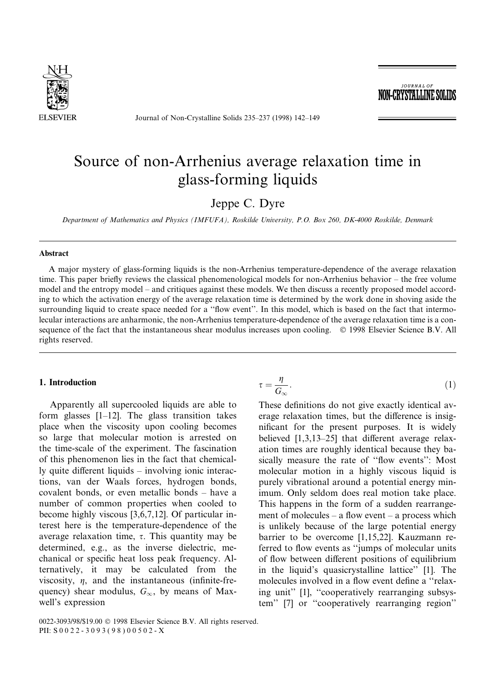

Journal of Non-Crystalline Solids 235-237 (1998) 142-149

**JOURNAL OF** NON-CRYSTALLINE SOLID

# Source of non-Arrhenius average relaxation time in glass-forming liquids

Jeppe C. Dyre

Department of Mathematics and Physics (IMFUFA), Roskilde University, P.O. Box 260, DK-4000 Roskilde, Denmark

# Abstract

A major mystery of glass-forming liquids is the non-Arrhenius temperature-dependence of the average relaxation time. This paper briefly reviews the classical phenomenological models for non-Arrhenius behavior  $-$  the free volume model and the entropy model - and critiques against these models. We then discuss a recently proposed model according to which the activation energy of the average relaxation time is determined by the work done in shoving aside the surrounding liquid to create space needed for a "flow event". In this model, which is based on the fact that intermolecular interactions are anharmonic, the non-Arrhenius temperature-dependence of the average relaxation time is a consequence of the fact that the instantaneous shear modulus increases upon cooling. © 1998 Elsevier Science B.V. All rights reserved.

# 1. Introduction

Apparently all supercooled liquids are able to form glasses  $[1-12]$ . The glass transition takes place when the viscosity upon cooling becomes so large that molecular motion is arrested on the time-scale of the experiment. The fascination of this phenomenon lies in the fact that chemical- $\mu$  quite different liquids  $-\mu$  involving ionic interactions, van der Waals forces, hydrogen bonds, covalent bonds, or even metallic bonds  $-\hbox{have a}$ number of common properties when cooled to become highly viscous [3,6,7,12]. Of particular interest here is the temperature-dependence of the average relaxation time,  $\tau$ . This quantity may be determined, e.g., as the inverse dielectric, mechanical or specific heat loss peak frequency. Alternatively, it may be calculated from the viscosity,  $\eta$ , and the instantaneous (infinite-frequency) shear modulus,  $G_{\infty}$ , by means of Maxwell's expression

$$
\tau = \frac{\eta}{G_{\infty}}.\tag{1}
$$

These definitions do not give exactly identical average relaxation times, but the difference is insignificant for the present purposes. It is widely believed  $[1,3,13-25]$  that different average relaxation times are roughly identical because they basically measure the rate of "flow events": Most molecular motion in a highly viscous liquid is purely vibrational around a potential energy minimum. Only seldom does real motion take place. This happens in the form of a sudden rearrangement of molecules  $-$  a flow event  $-$  a process which is unlikely because of the large potential energy barrier to be overcome [1,15,22]. Kauzmann referred to flow events as "jumps of molecular units" of flow between different positions of equilibrium in the liquid's quasicrystalline lattice'' [1]. The molecules involved in a flow event define a "relaxing unit" [1], "cooperatively rearranging subsystem" [7] or "cooperatively rearranging region"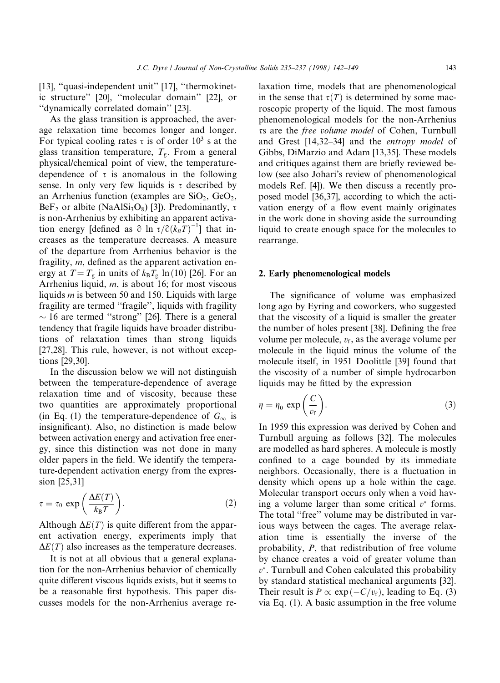[13], "quasi-independent unit" [17], "thermokinetic structure" [20], "molecular domain" [22], or ``dynamically correlated domain'' [23].

As the glass transition is approached, the average relaxation time becomes longer and longer. For typical cooling rates  $\tau$  is of order 10<sup>3</sup> s at the glass transition temperature,  $T_g$ . From a general physical/chemical point of view, the temperaturedependence of  $\tau$  is anomalous in the following sense. In only very few liquids is  $\tau$  described by an Arrhenius function (examples are  $SiO<sub>2</sub>$ ,  $GeO<sub>2</sub>$ , BeF<sub>2</sub> or albite (NaAlSi<sub>3</sub>O<sub>8</sub>) [3]). Predominantly,  $\tau$ is non-Arrhenius by exhibiting an apparent activation energy [defined as  $\partial \ln \tau / \partial (k_B T)^{-1}$ ] that increases as the temperature decreases. A measure of the departure from Arrhenius behavior is the fragility,  $m$ , defined as the apparent activation energy at  $T = T_g$  in units of  $k_B T_g \ln(10)$  [26]. For an Arrhenius liquid, m, is about 16; for most viscous liquids  $m$  is between 50 and 150. Liquids with large fragility are termed "fragile", liquids with fragility  $\sim$  16 are termed "strong" [26]. There is a general tendency that fragile liquids have broader distributions of relaxation times than strong liquids [27,28]. This rule, however, is not without exceptions [29,30].

In the discussion below we will not distinguish between the temperature-dependence of average relaxation time and of viscosity, because these two quantities are approximately proportional (in Eq. (1) the temperature-dependence of  $G_{\infty}$  is insignificant). Also, no distinction is made below between activation energy and activation free energy, since this distinction was not done in many older papers in the field. We identify the temperature-dependent activation energy from the expression [25,31]

$$
\tau = \tau_0 \, \exp\left(\frac{\Delta E(T)}{k_{\rm B}T}\right). \tag{2}
$$

Although  $\Delta E(T)$  is quite different from the apparent activation energy, experiments imply that  $\Delta E(T)$  also increases as the temperature decreases.

It is not at all obvious that a general explanation for the non-Arrhenius behavior of chemically quite different viscous liquids exists, but it seems to be a reasonable first hypothesis. This paper discusses models for the non-Arrhenius average relaxation time, models that are phenomenological in the sense that  $\tau(T)$  is determined by some macroscopic property of the liquid. The most famous phenomenological models for the non-Arrhenius ss are the free volume model of Cohen, Turnbull and Grest  $[14,32-34]$  and the *entropy model* of Gibbs, DiMarzio and Adam [13,35]. These models and critiques against them are briefly reviewed below (see also Johari's review of phenomenological models Ref. [4]). We then discuss a recently proposed model [36,37], according to which the activation energy of a flow event mainly originates in the work done in shoving aside the surrounding liquid to create enough space for the molecules to rearrange.

#### 2. Early phenomenological models

The significance of volume was emphasized long ago by Eyring and coworkers, who suggested that the viscosity of a liquid is smaller the greater the number of holes present [38]. Defining the free volume per molecule,  $v_f$ , as the average volume per molecule in the liquid minus the volume of the molecule itself, in 1951 Doolittle [39] found that the viscosity of a number of simple hydrocarbon liquids may be fitted by the expression

$$
\eta = \eta_0 \, \exp\left(\frac{C}{v_f}\right). \tag{3}
$$

In 1959 this expression was derived by Cohen and Turnbull arguing as follows [32]. The molecules are modelled as hard spheres. A molecule is mostly confined to a cage bounded by its immediate neighbors. Occasionally, there is a fluctuation in density which opens up a hole within the cage. Molecular transport occurs only when a void having a volume larger than some critical  $v^*$  forms. The total "free" volume may be distributed in various ways between the cages. The average relaxation time is essentially the inverse of the probability, P, that redistribution of free volume by chance creates a void of greater volume than  $v^*$ . Turnbull and Cohen calculated this probability by standard statistical mechanical arguments [32]. Their result is  $P \propto \exp(-C/v_f)$ , leading to Eq. (3) via Eq. (1). A basic assumption in the free volume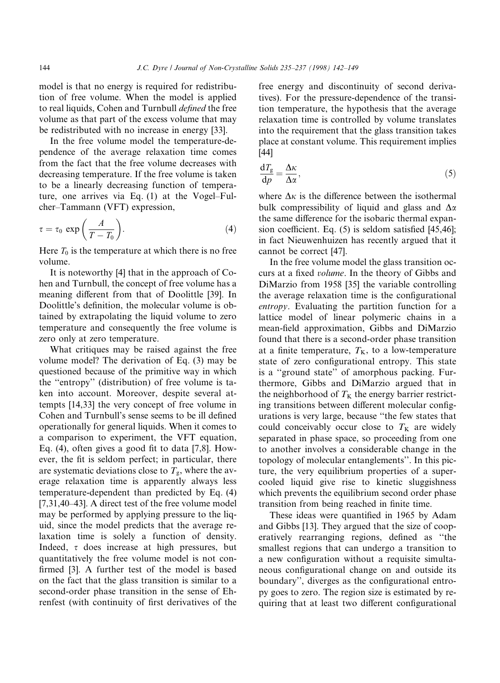model is that no energy is required for redistribution of free volume. When the model is applied to real liquids, Cohen and Turnbull defined the free volume as that part of the excess volume that may be redistributed with no increase in energy [33].

In the free volume model the temperature-dependence of the average relaxation time comes from the fact that the free volume decreases with decreasing temperature. If the free volume is taken to be a linearly decreasing function of temperature, one arrives via Eq.  $(1)$  at the Vogel-Fulcher-Tammann (VFT) expression,

$$
\tau = \tau_0 \, \exp\left(\frac{A}{T - T_0}\right). \tag{4}
$$

Here  $T_0$  is the temperature at which there is no free volume.

It is noteworthy [4] that in the approach of Cohen and Turnbull, the concept of free volume has a meaning different from that of Doolittle [39]. In Doolittle's definition, the molecular volume is obtained by extrapolating the liquid volume to zero temperature and consequently the free volume is zero only at zero temperature.

What critiques may be raised against the free volume model? The derivation of Eq. (3) may be questioned because of the primitive way in which the ``entropy'' (distribution) of free volume is taken into account. Moreover, despite several attempts [14,33] the very concept of free volume in Cohen and Turnbull's sense seems to be ill defined operationally for general liquids. When it comes to a comparison to experiment, the VFT equation, Eq. (4), often gives a good fit to data  $[7,8]$ . However, the fit is seldom perfect; in particular, there are systematic deviations close to  $T_{\rm g}$ , where the average relaxation time is apparently always less temperature-dependent than predicted by Eq. (4)  $[7,31,40-43]$ . A direct test of the free volume model may be performed by applying pressure to the liquid, since the model predicts that the average relaxation time is solely a function of density. Indeed,  $\tau$  does increase at high pressures, but quantitatively the free volume model is not con firmed [3]. A further test of the model is based on the fact that the glass transition is similar to a second-order phase transition in the sense of Ehrenfest (with continuity of first derivatives of the free energy and discontinuity of second derivatives). For the pressure-dependence of the transition temperature, the hypothesis that the average relaxation time is controlled by volume translates into the requirement that the glass transition takes place at constant volume. This requirement implies [44]

$$
\frac{\mathrm{d}T_{\mathrm{g}}}{\mathrm{d}p} = \frac{\Delta\kappa}{\Delta\alpha},\tag{5}
$$

where  $\Delta \kappa$  is the difference between the isothermal bulk compressibility of liquid and glass and  $\Delta \alpha$ the same difference for the isobaric thermal expansion coefficient. Eq.  $(5)$  is seldom satisfied [45,46]; in fact Nieuwenhuizen has recently argued that it cannot be correct [47].

In the free volume model the glass transition occurs at a fixed *volume*. In the theory of Gibbs and DiMarzio from 1958 [35] the variable controlling the average relaxation time is the configurational entropy. Evaluating the partition function for a lattice model of linear polymeric chains in a mean-field approximation, Gibbs and DiMarzio found that there is a second-order phase transition at a finite temperature,  $T_{K}$ , to a low-temperature state of zero configurational entropy. This state is a "ground state" of amorphous packing. Furthermore, Gibbs and DiMarzio argued that in the neighborhood of  $T<sub>K</sub>$  the energy barrier restricting transitions between different molecular configurations is very large, because "the few states that could conceivably occur close to  $T<sub>K</sub>$  are widely separated in phase space, so proceeding from one to another involves a considerable change in the topology of molecular entanglements''. In this picture, the very equilibrium properties of a supercooled liquid give rise to kinetic sluggishness which prevents the equilibrium second order phase transition from being reached in finite time.

These ideas were quantified in 1965 by Adam and Gibbs [13]. They argued that the size of cooperatively rearranging regions, defined as "the smallest regions that can undergo a transition to a new configuration without a requisite simultaneous configurational change on and outside its boundary", diverges as the configurational entropy goes to zero. The region size is estimated by requiring that at least two different configurational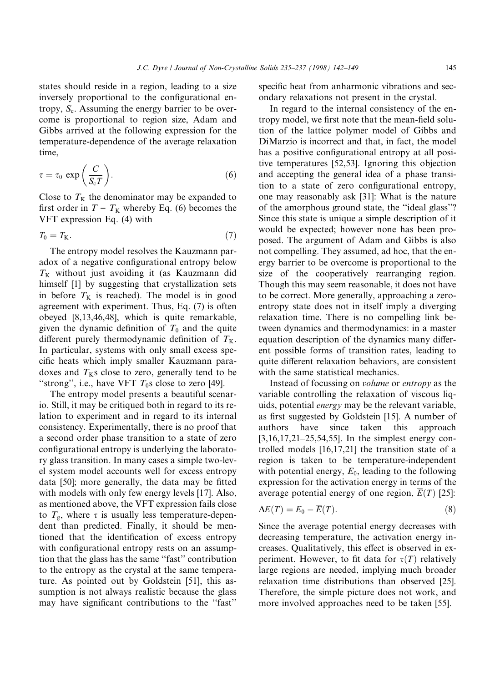states should reside in a region, leading to a size inversely proportional to the configurational entropy,  $S_c$ . Assuming the energy barrier to be overcome is proportional to region size, Adam and Gibbs arrived at the following expression for the temperature-dependence of the average relaxation time,

$$
\tau = \tau_0 \, \exp\left(\frac{C}{S_c T}\right). \tag{6}
$$

Close to  $T<sub>K</sub>$  the denominator may be expanded to first order in  $T - T_K$  whereby Eq. (6) becomes the VFT expression Eq. (4) with

$$
T_0 = T_{\mathbf{K}}.\tag{7}
$$

The entropy model resolves the Kauzmann paradox of a negative configurational entropy below  $T<sub>K</sub>$  without just avoiding it (as Kauzmann did himself [1] by suggesting that crystallization sets in before  $T<sub>K</sub>$  is reached). The model is in good agreement with experiment. Thus, Eq. (7) is often obeyed [8,13,46,48], which is quite remarkable, given the dynamic definition of  $T_0$  and the quite different purely thermodynamic definition of  $T_{K}$ . In particular, systems with only small excess specific heats which imply smaller Kauzmann paradoxes and  $T<sub>K</sub>$ s close to zero, generally tend to be "strong", i.e., have VFT  $T_0$ s close to zero [49].

The entropy model presents a beautiful scenario. Still, it may be critiqued both in regard to its relation to experiment and in regard to its internal consistency. Experimentally, there is no proof that a second order phase transition to a state of zero configurational entropy is underlying the laboratory glass transition. In many cases a simple two-level system model accounts well for excess entropy data [50]; more generally, the data may be fitted with models with only few energy levels [17]. Also, as mentioned above, the VFT expression fails close to  $T_{\rm g}$ , where  $\tau$  is usually less temperature-dependent than predicted. Finally, it should be mentioned that the identification of excess entropy with configurational entropy rests on an assumption that the glass has the same ``fast'' contribution to the entropy as the crystal at the same temperature. As pointed out by Goldstein [51], this assumption is not always realistic because the glass may have significant contributions to the "fast" specific heat from anharmonic vibrations and secondary relaxations not present in the crystal.

In regard to the internal consistency of the entropy model, we first note that the mean-field solution of the lattice polymer model of Gibbs and DiMarzio is incorrect and that, in fact, the model has a positive configurational entropy at all positive temperatures [52,53]. Ignoring this objection and accepting the general idea of a phase transition to a state of zero configurational entropy, one may reasonably ask [31]: What is the nature of the amorphous ground state, the "ideal glass"? Since this state is unique a simple description of it would be expected; however none has been proposed. The argument of Adam and Gibbs is also not compelling. They assumed, ad hoc, that the energy barrier to be overcome is proportional to the size of the cooperatively rearranging region. Though this may seem reasonable, it does not have to be correct. More generally, approaching a zeroentropy state does not in itself imply a diverging relaxation time. There is no compelling link between dynamics and thermodynamics: in a master equation description of the dynamics many different possible forms of transition rates, leading to quite different relaxation behaviors, are consistent with the same statistical mechanics.

Instead of focussing on volume or entropy as the variable controlling the relaxation of viscous liquids, potential energy may be the relevant variable, as first suggested by Goldstein [15]. A number of authors have since taken this approach  $[3,16,17,21-25,54,55]$ . In the simplest energy controlled models [16,17,21] the transition state of a region is taken to be temperature-independent with potential energy,  $E_0$ , leading to the following expression for the activation energy in terms of the average potential energy of one region,  $\overline{E}(T)$  [25]:

$$
\Delta E(T) = E_0 - \overline{E}(T). \tag{8}
$$

Since the average potential energy decreases with decreasing temperature, the activation energy increases. Qualitatively, this effect is observed in experiment. However, to fit data for  $\tau(T)$  relatively large regions are needed, implying much broader relaxation time distributions than observed [25]. Therefore, the simple picture does not work, and more involved approaches need to be taken [55].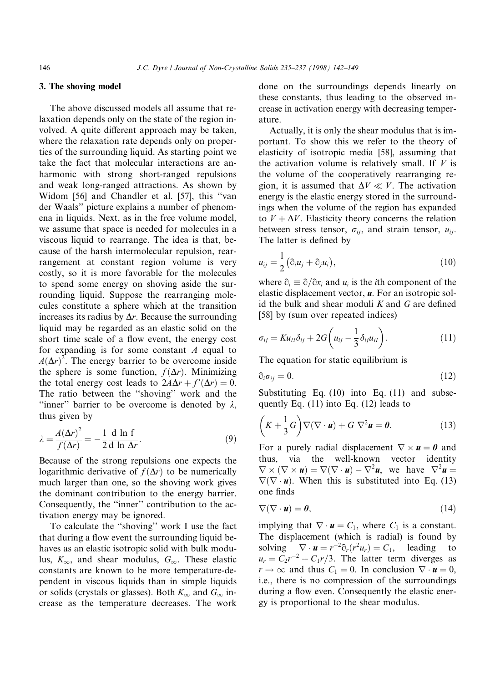### 3. The shoving model

The above discussed models all assume that relaxation depends only on the state of the region involved. A quite different approach may be taken, where the relaxation rate depends only on properties of the surrounding liquid. As starting point we take the fact that molecular interactions are anharmonic with strong short-ranged repulsions and weak long-ranged attractions. As shown by Widom [56] and Chandler et al. [57], this "van der Waals'' picture explains a number of phenomena in liquids. Next, as in the free volume model, we assume that space is needed for molecules in a viscous liquid to rearrange. The idea is that, because of the harsh intermolecular repulsion, rearrangement at constant region volume is very costly, so it is more favorable for the molecules to spend some energy on shoving aside the surrounding liquid. Suppose the rearranging molecules constitute a sphere which at the transition increases its radius by  $\Delta r$ . Because the surrounding liquid may be regarded as an elastic solid on the short time scale of a flow event, the energy cost for expanding is for some constant A equal to  $A(\Delta r)^2$ . The energy barrier to be overcome inside the sphere is some function,  $f(\Delta r)$ . Minimizing the total energy cost leads to  $2A\Delta r + f'(\Delta r) = 0$ . The ratio between the "shoving" work and the "inner" barrier to be overcome is denoted by  $\lambda$ , thus given by

$$
\lambda = \frac{A(\Delta r)^2}{f(\Delta r)} = -\frac{1}{2} \frac{d \ln f}{d \ln \Delta r}.
$$
\n(9)

Because of the strong repulsions one expects the logarithmic derivative of  $f(\Delta r)$  to be numerically much larger than one, so the shoving work gives the dominant contribution to the energy barrier. Consequently, the "inner" contribution to the activation energy may be ignored.

To calculate the "shoving" work I use the fact that during a flow event the surrounding liquid behaves as an elastic isotropic solid with bulk modulus,  $K_{\infty}$ , and shear modulus,  $G_{\infty}$ . These elastic constants are known to be more temperature-dependent in viscous liquids than in simple liquids or solids (crystals or glasses). Both  $K_{\infty}$  and  $G_{\infty}$  increase as the temperature decreases. The work

done on the surroundings depends linearly on these constants, thus leading to the observed increase in activation energy with decreasing temperature.

Actually, it is only the shear modulus that is important. To show this we refer to the theory of elasticity of isotropic media [58], assuming that the activation volume is relatively small. If  $V$  is the volume of the cooperatively rearranging region, it is assumed that  $\Delta V \ll V$ . The activation energy is the elastic energy stored in the surroundings when the volume of the region has expanded to  $V + \Delta V$ . Elasticity theory concerns the relation between stress tensor,  $\sigma_{ii}$ , and strain tensor,  $u_{ii}$ . The latter is defined by

$$
u_{ij} = \frac{1}{2} \left( \partial_i u_j + \partial_j u_i \right), \tag{10}
$$

where  $\partial_i \equiv \partial/\partial x_i$  and  $u_i$  is the *i*th component of the elastic displacement vector,  $\boldsymbol{u}$ . For an isotropic solid the bulk and shear moduli  $K$  and  $G$  are defined [58] by (sum over repeated indices)

$$
\sigma_{ij} = K u_{II} \delta_{ij} + 2G \left( u_{ij} - \frac{1}{3} \delta_{ij} u_{II} \right).
$$
 (11)

The equation for static equilibrium is

$$
\partial_i \sigma_{ij} = 0. \tag{12}
$$

Substituting Eq. (10) into Eq. (11) and subsequently Eq. (11) into Eq. (12) leads to

$$
\left(K + \frac{1}{3}G\right)\nabla(\nabla \cdot \mathbf{u}) + G \nabla^2 \mathbf{u} = \mathbf{0}.\tag{13}
$$

For a purely radial displacement  $\nabla \times \mathbf{u} = \mathbf{0}$  and thus, via the well-known vector identity  $\nabla \times (\nabla \times \mathbf{u}) = \nabla (\nabla \cdot \mathbf{u}) - \nabla^2 \mathbf{u}$ , we have  $\nabla^2 \mathbf{u} =$  $\nabla(\nabla \cdot \mathbf{u})$ . When this is substituted into Eq. (13) one finds

$$
\nabla(\nabla \cdot \mathbf{u}) = \mathbf{0},\tag{14}
$$

implying that  $\nabla \cdot \mathbf{u} = C_1$ , where  $C_1$  is a constant. The displacement (which is radial) is found by solving  $\nabla \cdot \mathbf{u} = r^{-2} \partial_r (r^2 u_r) = C_1$ , leading to  $u_r = C_2r^{-2} + C_1r/3$ . The latter term diverges as  $r \to \infty$  and thus  $C_1 = 0$ . In conclusion  $\nabla \cdot \mathbf{u} = 0$ , i.e., there is no compression of the surroundings during a flow even. Consequently the elastic energy is proportional to the shear modulus.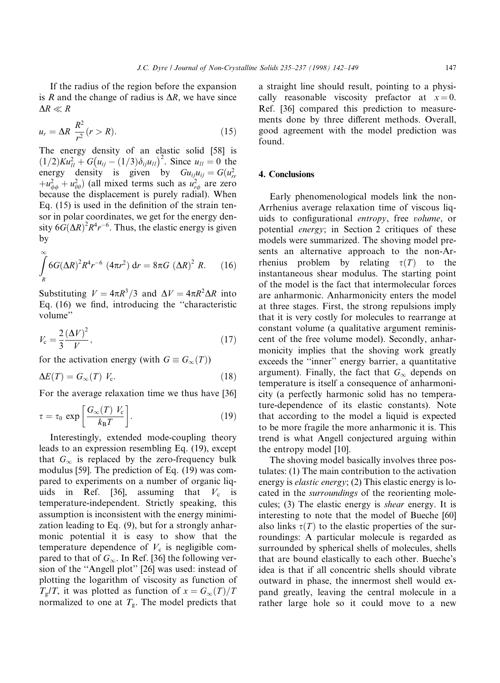If the radius of the region before the expansion is R and the change of radius is  $\Delta R$ , we have since  $\Delta R \ll R$ 

$$
u_r = \Delta R \frac{R^2}{r^2} (r > R). \tag{15}
$$

The energy density of an elastic solid [58] is  $(1/2)K u_{1l}^2 + G(u_{ij} - (1/3)\delta_{ij}u_{ll})^2$ . Since  $u_{ll} = 0$  the energy density is given by  $Gu_{ij}u_{ij} = G(u_{rr}^2)$  $+u_{\phi\phi}^2 + u_{\theta\theta}^2$ ) (all mixed terms such as  $u_{r\phi}^2$  are zero because the displacement is purely radial). When Eq.  $(15)$  is used in the definition of the strain tensor in polar coordinates, we get for the energy density  $6G(\Delta R)^2 R^4 r^{-6}$ . Thus, the elastic energy is given by

$$
\int_{R}^{\infty} 6G(\Delta R)^{2} R^{4} r^{-6} (4\pi r^{2}) dr = 8\pi G (\Delta R)^{2} R.
$$
 (16)

Substituting  $V = 4\pi R^3/3$  and  $\Delta V = 4\pi R^2\Delta R$  into Eq.  $(16)$  we find, introducing the "characteristic volume''

$$
V_{\rm c} = \frac{2}{3} \frac{(\Delta V)^2}{V},\tag{17}
$$

for the activation energy (with  $G \equiv G_{\infty}(T)$ )

$$
\Delta E(T) = G_{\infty}(T) V_{\rm c}.
$$
\n(18)

For the average relaxation time we thus have [36]

$$
\tau = \tau_0 \, \exp\left[\frac{G_{\infty}(T) \, V_{\rm c}}{k_{\rm B} T}\right]. \tag{19}
$$

Interestingly, extended mode-coupling theory leads to an expression resembling Eq. (19), except that  $G_{\infty}$  is replaced by the zero-frequency bulk modulus [59]. The prediction of Eq. (19) was compared to experiments on a number of organic liquids in Ref. [36], assuming that  $V_c$  is temperature-independent. Strictly speaking, this assumption is inconsistent with the energy minimization leading to Eq. (9), but for a strongly anharmonic potential it is easy to show that the temperature dependence of  $V_c$  is negligible compared to that of  $G_{\infty}$ . In Ref. [36] the following version of the "Angell plot" [26] was used: instead of plotting the logarithm of viscosity as function of  $T_{g}/T$ , it was plotted as function of  $x = G_{\infty}(T)/T$ normalized to one at  $T_{\rm g}$ . The model predicts that

a straight line should result, pointing to a physically reasonable viscosity prefactor at  $x = 0$ . Ref. [36] compared this prediction to measurements done by three different methods. Overall, good agreement with the model prediction was found.

# 4. Conclusions

Early phenomenological models link the non-Arrhenius average relaxation time of viscous liquids to configurational *entropy*, free *volume*, or potential energy; in Section 2 critiques of these models were summarized. The shoving model presents an alternative approach to the non-Arrhenius problem by relating  $\tau(T)$  to the instantaneous shear modulus. The starting point of the model is the fact that intermolecular forces are anharmonic. Anharmonicity enters the model at three stages. First, the strong repulsions imply that it is very costly for molecules to rearrange at constant volume (a qualitative argument reminiscent of the free volume model). Secondly, anharmonicity implies that the shoving work greatly exceeds the "inner" energy barrier, a quantitative argument). Finally, the fact that  $G_{\infty}$  depends on temperature is itself a consequence of anharmonicity (a perfectly harmonic solid has no temperature-dependence of its elastic constants). Note that according to the model a liquid is expected to be more fragile the more anharmonic it is. This trend is what Angell conjectured arguing within the entropy model [10].

The shoving model basically involves three postulates: (1) The main contribution to the activation energy is elastic energy; (2) This elastic energy is located in the surroundings of the reorienting molecules; (3) The elastic energy is shear energy. It is interesting to note that the model of Bueche [60] also links  $\tau(T)$  to the elastic properties of the surroundings: A particular molecule is regarded as surrounded by spherical shells of molecules, shells that are bound elastically to each other. Bueche's idea is that if all concentric shells should vibrate outward in phase, the innermost shell would expand greatly, leaving the central molecule in a rather large hole so it could move to a new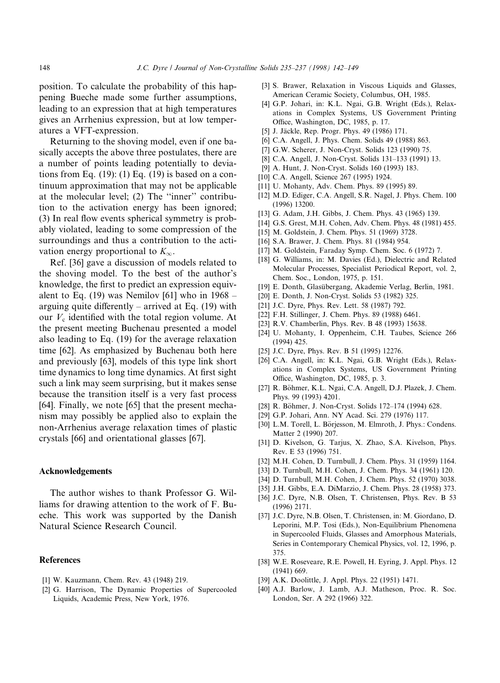position. To calculate the probability of this happening Bueche made some further assumptions, leading to an expression that at high temperatures gives an Arrhenius expression, but at low temperatures a VFT-expression.

Returning to the shoving model, even if one basically accepts the above three postulates, there are a number of points leading potentially to deviations from Eq.  $(19)$ :  $(1)$  Eq.  $(19)$  is based on a continuum approximation that may not be applicable at the molecular level;  $(2)$  The "inner" contribution to the activation energy has been ignored;  $(3)$  In real flow events spherical symmetry is probably violated, leading to some compression of the surroundings and thus a contribution to the activation energy proportional to  $K_{\infty}$ .

Ref. [36] gave a discussion of models related to the shoving model. To the best of the author's knowledge, the first to predict an expression equivalent to Eq. (19) was Nemilov [61] who in  $1968$ arguing quite differently  $-$  arrived at Eq. (19) with our  $V_c$  identified with the total region volume. At the present meeting Buchenau presented a model also leading to Eq. (19) for the average relaxation time [62]. As emphasized by Buchenau both here and previously [63], models of this type link short time dynamics to long time dynamics. At first sight such a link may seem surprising, but it makes sense because the transition itself is a very fast process [64]. Finally, we note [65] that the present mechanism may possibly be applied also to explain the non-Arrhenius average relaxation times of plastic crystals [66] and orientational glasses [67].

#### Acknowledgements

The author wishes to thank Professor G. Williams for drawing attention to the work of F. Bueche. This work was supported by the Danish Natural Science Research Council.

# **References**

- [1] W. Kauzmann, Chem. Rev. 43 (1948) 219.
- [2] G. Harrison, The Dynamic Properties of Supercooled Liquids, Academic Press, New York, 1976.
- [3] S. Brawer, Relaxation in Viscous Liquids and Glasses, American Ceramic Society, Columbus, OH, 1985.
- [4] G.P. Johari, in: K.L. Ngai, G.B. Wright (Eds.), Relaxations in Complex Systems, US Government Printing Office, Washington, DC, 1985, p. 17.
- [5] J. Jackle, Rep. Progr. Phys. 49 (1986) 171.
- [6] C.A. Angell, J. Phys. Chem. Solids 49 (1988) 863.
- [7] G.W. Scherer, J. Non-Cryst. Solids 123 (1990) 75.
- [8] C.A. Angell, J. Non-Cryst. Solids 131-133 (1991) 13.
- [9] A. Hunt, J. Non-Cryst. Solids 160 (1993) 183.
- [10] C.A. Angell, Science 267 (1995) 1924.
- [11] U. Mohanty, Adv. Chem. Phys. 89 (1995) 89.
- [12] M.D. Ediger, C.A. Angell, S.R. Nagel, J. Phys. Chem. 100 (1996) 13200.
- [13] G. Adam, J.H. Gibbs, J. Chem. Phys. 43 (1965) 139.
- [14] G.S. Grest, M.H. Cohen, Adv. Chem. Phys. 48 (1981) 455.
- [15] M. Goldstein, J. Chem. Phys. 51 (1969) 3728.
- [16] S.A. Brawer, J. Chem. Phys. 81 (1984) 954.
- [17] M. Goldstein, Faraday Symp. Chem. Soc. 6 (1972) 7.
- [18] G. Williams, in: M. Davies (Ed.), Dielectric and Related Molecular Processes, Specialist Periodical Report, vol. 2, Chem. Soc., London, 1975, p. 151.
- [19] E. Donth, Glasubergang, Akademie Verlag, Berlin, 1981.
- [20] E. Donth, J. Non-Cryst. Solids 53 (1982) 325.
- [21] J.C. Dyre, Phys. Rev. Lett. 58 (1987) 792.
- [22] F.H. Stillinger, J. Chem. Phys. 89 (1988) 6461.
- [23] R.V. Chamberlin, Phys. Rev. B 48 (1993) 15638.
- [24] U. Mohanty, I. Oppenheim, C.H. Taubes, Science 266 (1994) 425.
- [25] J.C. Dyre, Phys. Rev. B 51 (1995) 12276.
- [26] C.A. Angell, in: K.L. Ngai, G.B. Wright (Eds.), Relaxations in Complex Systems, US Government Printing Office, Washington, DC, 1985, p. 3.
- [27] R. Böhmer, K.L. Ngai, C.A. Angell, D.J. Plazek, J. Chem. Phys. 99 (1993) 4201.
- [28] R. Böhmer, J. Non-Cryst. Solids 172-174 (1994) 628.
- [29] G.P. Johari, Ann. NY Acad. Sci. 279 (1976) 117.
- [30] L.M. Torell, L. Börjesson, M. Elmroth, J. Phys.: Condens. Matter 2 (1990) 207.
- [31] D. Kivelson, G. Tarjus, X. Zhao, S.A. Kivelson, Phys. Rev. E 53 (1996) 751.
- [32] M.H. Cohen, D. Turnbull, J. Chem. Phys. 31 (1959) 1164.
- [33] D. Turnbull, M.H. Cohen, J. Chem. Phys. 34 (1961) 120.
- [34] D. Turnbull, M.H. Cohen, J. Chem. Phys. 52 (1970) 3038.
- [35] J.H. Gibbs, E.A. DiMarzio, J. Chem. Phys. 28 (1958) 373.
- [36] J.C. Dyre, N.B. Olsen, T. Christensen, Phys. Rev. B 53 (1996) 2171.
- [37] J.C. Dyre, N.B. Olsen, T. Christensen, in: M. Giordano, D. Leporini, M.P. Tosi (Eds.), Non-Equilibrium Phenomena in Supercooled Fluids, Glasses and Amorphous Materials, Series in Contemporary Chemical Physics, vol. 12, 1996, p. 375.
- [38] W.E. Roseveare, R.E. Powell, H. Eyring, J. Appl. Phys. 12 (1941) 669.
- [39] A.K. Doolittle, J. Appl. Phys. 22 (1951) 1471.
- [40] A.J. Barlow, J. Lamb, A.J. Matheson, Proc. R. Soc. London, Ser. A 292 (1966) 322.